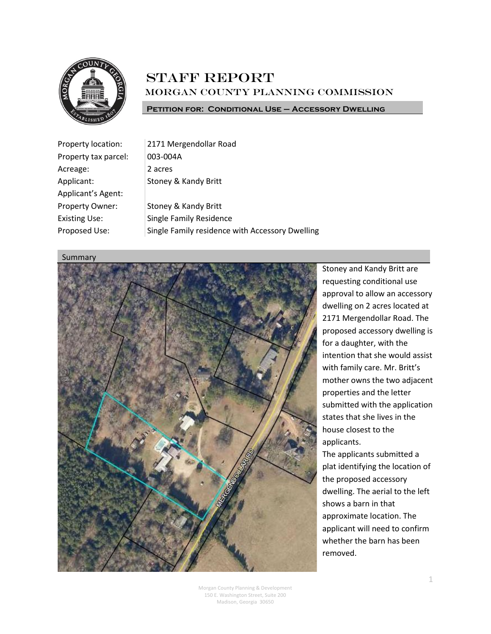

### **STAFF REPORT** Morgan County Planning Commission

**Petition for: Conditional Use – Accessory Dwelling**

| Property location:        | 2171 Mergendollar Road                          |
|---------------------------|-------------------------------------------------|
| Property tax parcel:      | 003-004A                                        |
| Acreage:                  | 2 acres                                         |
| Applicant:                | Stoney & Kandy Britt                            |
| <b>Applicant's Agent:</b> |                                                 |
| Property Owner:           | Stoney & Kandy Britt                            |
| <b>Existing Use:</b>      | <b>Single Family Residence</b>                  |
| Proposed Use:             | Single Family residence with Accessory Dwelling |

#### Summary



Stoney and Kandy Britt are requesting conditional use approval to allow an accessory dwelling on 2 acres located at 2171 Mergendollar Road. The proposed accessory dwelling is for a daughter, with the intention that she would assist with family care. Mr. Britt's mother owns the two adjacent properties and the letter submitted with the application states that she lives in the house closest to the applicants. The applicants submitted a plat identifying the location of the proposed accessory

dwelling. The aerial to the left shows a barn in that approximate location. The applicant will need to confirm whether the barn has been removed.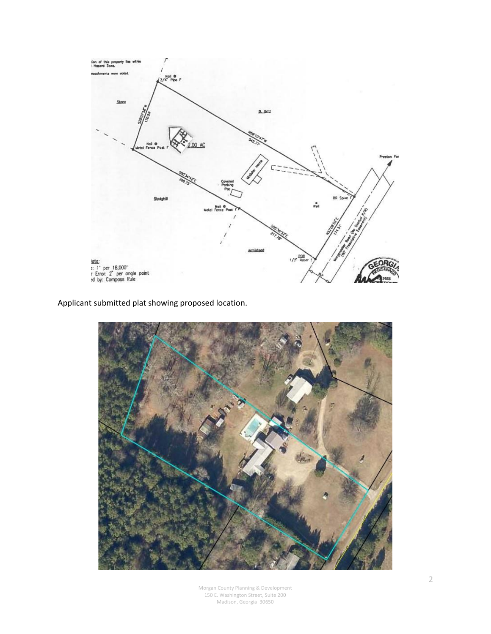

Applicant submitted plat showing proposed location.

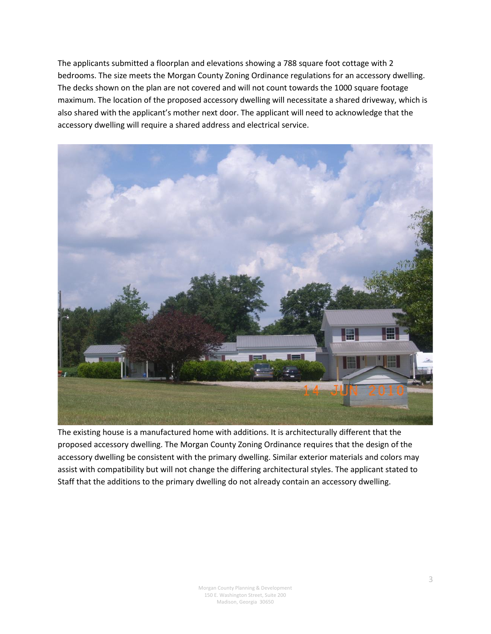The applicants submitted a floorplan and elevations showing a 788 square foot cottage with 2 bedrooms. The size meets the Morgan County Zoning Ordinance regulations for an accessory dwelling. The decks shown on the plan are not covered and will not count towards the 1000 square footage maximum. The location of the proposed accessory dwelling will necessitate a shared driveway, which is also shared with the applicant's mother next door. The applicant will need to acknowledge that the accessory dwelling will require a shared address and electrical service.



The existing house is a manufactured home with additions. It is architecturally different that the proposed accessory dwelling. The Morgan County Zoning Ordinance requires that the design of the accessory dwelling be consistent with the primary dwelling. Similar exterior materials and colors may assist with compatibility but will not change the differing architectural styles. The applicant stated to Staff that the additions to the primary dwelling do not already contain an accessory dwelling.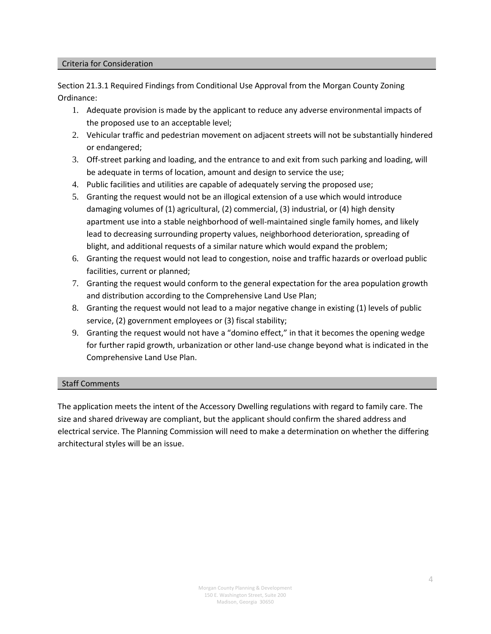#### Criteria for Consideration

Section 21.3.1 Required Findings from Conditional Use Approval from the Morgan County Zoning Ordinance:

- 1. Adequate provision is made by the applicant to reduce any adverse environmental impacts of the proposed use to an acceptable level;
- 2. Vehicular traffic and pedestrian movement on adjacent streets will not be substantially hindered or endangered;
- 3. Off-street parking and loading, and the entrance to and exit from such parking and loading, will be adequate in terms of location, amount and design to service the use;
- 4. Public facilities and utilities are capable of adequately serving the proposed use;
- 5. Granting the request would not be an illogical extension of a use which would introduce damaging volumes of (1) agricultural, (2) commercial, (3) industrial, or (4) high density apartment use into a stable neighborhood of well-maintained single family homes, and likely lead to decreasing surrounding property values, neighborhood deterioration, spreading of blight, and additional requests of a similar nature which would expand the problem;
- 6. Granting the request would not lead to congestion, noise and traffic hazards or overload public facilities, current or planned;
- 7. Granting the request would conform to the general expectation for the area population growth and distribution according to the Comprehensive Land Use Plan;
- 8. Granting the request would not lead to a major negative change in existing (1) levels of public service, (2) government employees or (3) fiscal stability;
- 9. Granting the request would not have a "domino effect," in that it becomes the opening wedge for further rapid growth, urbanization or other land-use change beyond what is indicated in the Comprehensive Land Use Plan.

#### Staff Comments

The application meets the intent of the Accessory Dwelling regulations with regard to family care. The size and shared driveway are compliant, but the applicant should confirm the shared address and electrical service. The Planning Commission will need to make a determination on whether the differing architectural styles will be an issue.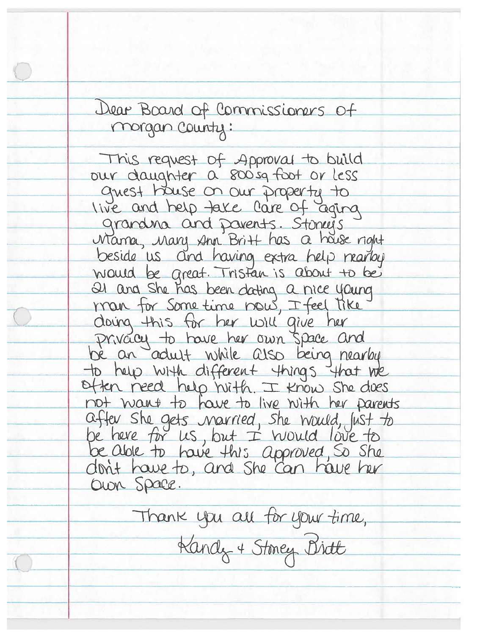Dear Board of Commissioners of morgan county:

This request of Approval to build our daughter a 800sg foot or less guest house on our property to live and help take care of aging grandina and pavents. Stoneys Marra, Mary Ann Britt has a house right beside us and having extra help marloy would be great. Tristan is about to be 21 and She has been dating a nice young man for Some time now, I feel tike doing this for her will give her Privacy to have her own space and bé an adult while also being nearby to help with different things that we<br>often need help huith. I know she does not want to have to live with her parents after she gets narried, she would, just to<br>be here for us, but I would love to be able to have this approved, So She don't have to, and she can have her OWN Space.

Thank you all for your time, Kandy + Stoney Birth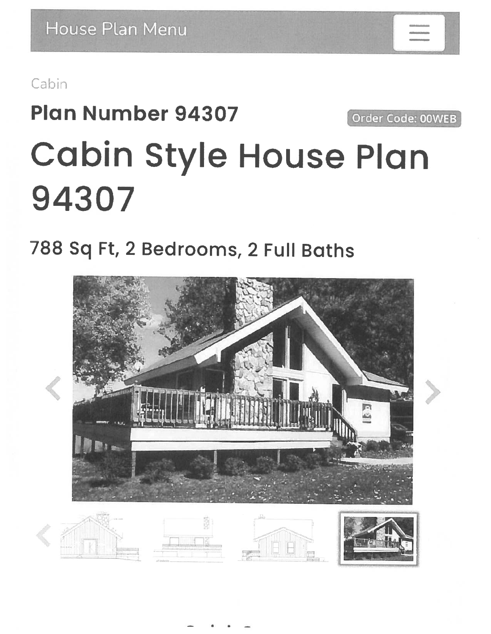### Cabin

## **Plan Number 94307** Order Code: 00WEB **Cabin Style House Plan** 94307

## 788 Sq Ft, 2 Bedrooms, 2 Full Baths



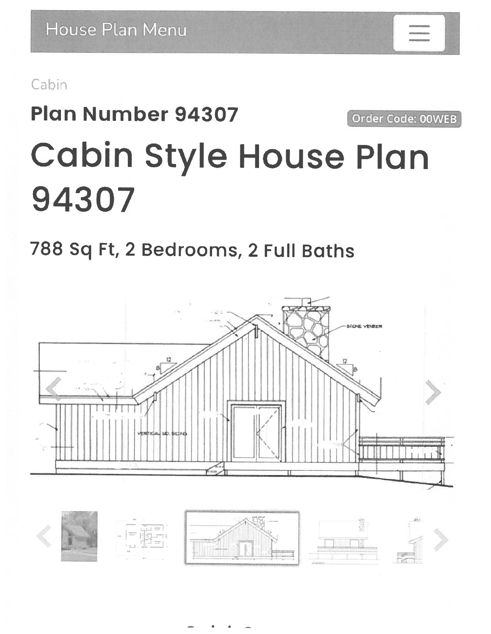Cabin

# **Plan Number 94307** Order Code: 00WEB **Cabin Style House Plan** 94307

## 788 Sq Ft, 2 Bedrooms, 2 Full Baths

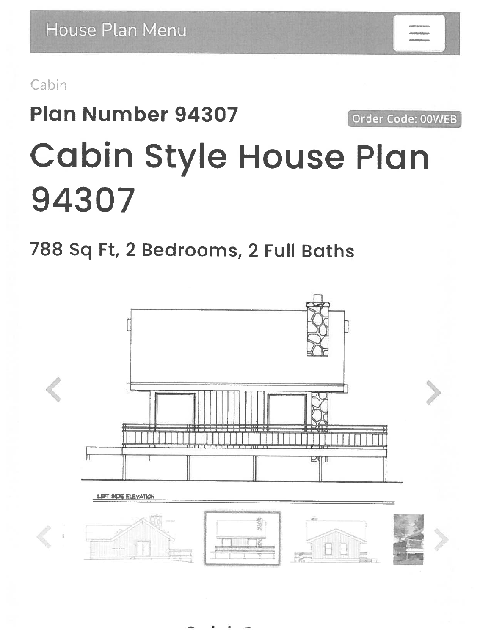Cabin

# **Plan Number 94307** Order Code: 00WEB **Cabin Style House Plan** 94307

### 788 Sq Ft, 2 Bedrooms, 2 Full Baths

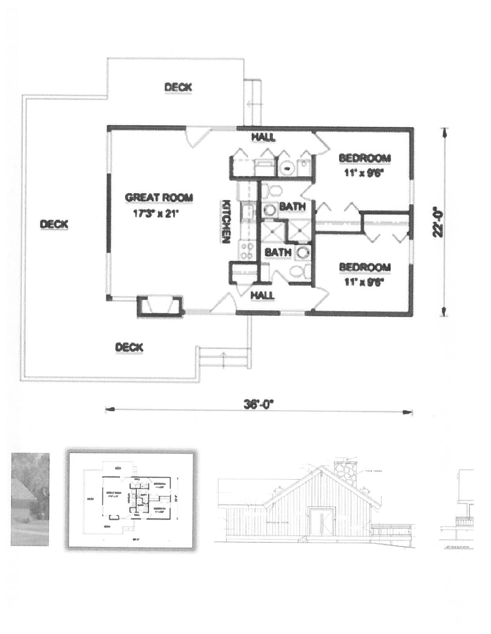